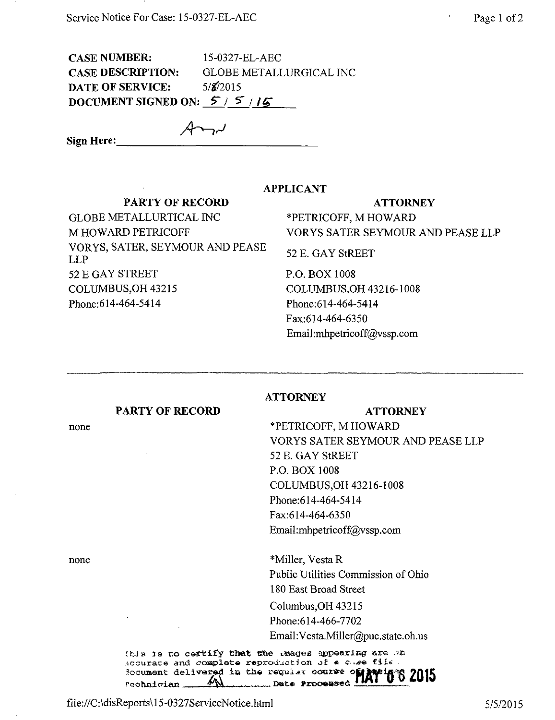**CASE NUMBER:** 15-0327-EL-AEC **CASE DESCRIPTION: GLOBE METALLURGICAL INC**  $5/8/2015$ **DATE OF SERVICE:** DOCUMENT SIGNED ON:  $5/5/5$ 

Sign Here:

## **APPLICANT**

**ATTORNEY** 

## **PARTY OF RECORD**

**GLOBE METALLURTICAL INC** M HOWARD PETRICOFF VORYS, SATER, SEYMOUR AND PEASE **LLP** 52 E GAY STREET COLUMBUS, OH 43215 Phone: 614-464-5414

## **ATTORNEY**

\*PETRICOFF, M HOWARD VORYS SATER SEYMOUR AND PEASE LLP

52 E. GAY StREET

P.O. BOX 1008 COLUMBUS, OH 43216-1008 Phone: 614-464-5414 Fax:614-464-6350 Email:mhpetricoff@vssp.com

## **PARTY OF RECORD**

**ATTORNEY** 

\*PETRICOFF, M HOWARD VORYS SATER SEYMOUR AND PEASE LLP 52 E. GAY StREET P.O. BOX 1008 COLUMBUS, OH 43216-1008 Phone:614-464-5414 Fax:614-464-6350 Email:mhpetricoff@vssp.com

\*Miller, Vesta R Public Utilities Commission of Ohio 180 East Broad Street Columbus, OH 43215 Phone:614-466-7702 Email: Vesta.Miller@puc.state.oh.us

this is to certify that the mages appearing are on Accurate and complete reproduction of a case file locument delivered in the regular course 6 ZO 15  $\mathcal{W}$ Data Processed  $rechndcian$ 

none

none